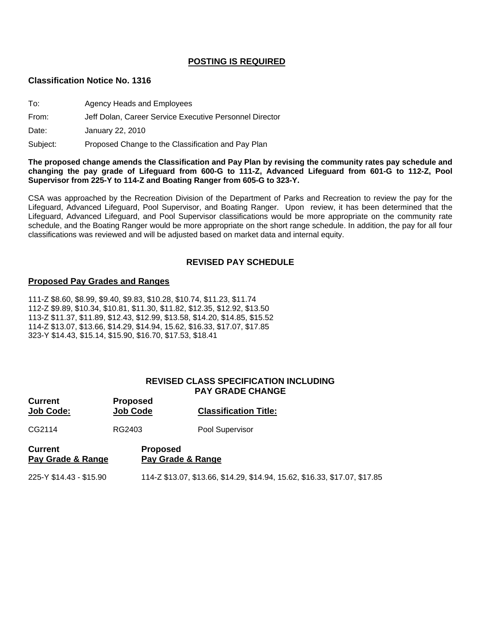## **POSTING IS REQUIRED**

#### **Classification Notice No. 1316**

| To: | Agency Heads and Employees |
|-----|----------------------------|
|     |                            |

From: Jeff Dolan, Career Service Executive Personnel Director

Date: January 22, 2010

Subject: Proposed Change to the Classification and Pay Plan

**The proposed change amends the Classification and Pay Plan by revising the community rates pay schedule and changing the pay grade of Lifeguard from 600-G to 111-Z, Advanced Lifeguard from 601-G to 112-Z, Pool Supervisor from 225-Y to 114-Z and Boating Ranger from 605-G to 323-Y.** 

CSA was approached by the Recreation Division of the Department of Parks and Recreation to review the pay for the Lifeguard, Advanced Lifeguard, Pool Supervisor, and Boating Ranger. Upon review, it has been determined that the Lifeguard, Advanced Lifeguard, and Pool Supervisor classifications would be more appropriate on the community rate schedule, and the Boating Ranger would be more appropriate on the short range schedule. In addition, the pay for all four classifications was reviewed and will be adjusted based on market data and internal equity.

## **REVISED PAY SCHEDULE**

#### **Proposed Pay Grades and Ranges**

111-Z \$8.60, \$8.99, \$9.40, \$9.83, \$10.28, \$10.74, \$11.23, \$11.74 112-Z \$9.89, \$10.34, \$10.81, \$11.30, \$11.82, \$12.35, \$12.92, \$13.50 113-Z \$11.37, \$11.89, \$12.43, \$12.99, \$13.58, \$14.20, \$14.85, \$15.52 114-Z \$13.07, \$13.66, \$14.29, \$14.94, 15.62, \$16.33, \$17.07, \$17.85 323-Y \$14.43, \$15.14, \$15.90, \$16.70, \$17.53, \$18.41

#### **REVISED CLASS SPECIFICATION INCLUDING PAY GRADE CHANGE**

| <b>Current</b><br><b>Job Code:</b>  | <b>Proposed</b><br><b>Job Code</b>   | <b>Classification Title:</b>                                               |
|-------------------------------------|--------------------------------------|----------------------------------------------------------------------------|
| CG2114                              | RG2403                               | Pool Supervisor                                                            |
| <b>Current</b><br>Pay Grade & Range | <b>Proposed</b><br>Pay Grade & Range |                                                                            |
| 225-Y \$14.43 - \$15.90             |                                      | 114-Z \$13.07, \$13.66, \$14.29, \$14.94, 15.62, \$16.33, \$17.07, \$17.85 |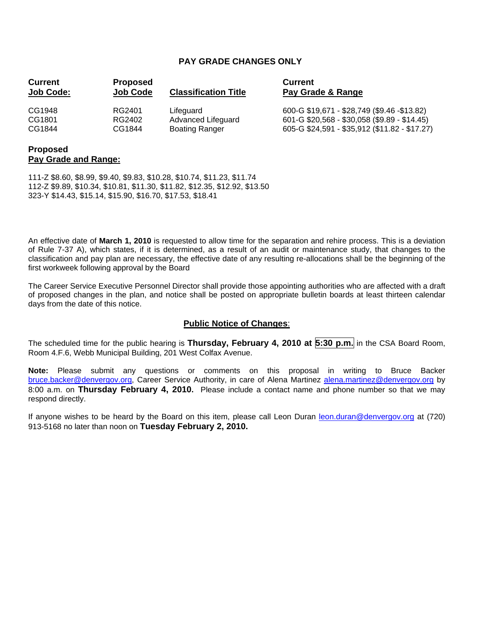## **PAY GRADE CHANGES ONLY**

| <b>Current</b>   | <b>Proposed</b> | <b>Classification Title</b> | <b>Current</b>                                |
|------------------|-----------------|-----------------------------|-----------------------------------------------|
| <b>Job Code:</b> | <b>Job Code</b> |                             | Pay Grade & Range                             |
| CG1948           | RG2401          | Lifeguard                   | 600-G \$19,671 - \$28,749 (\$9.46 -\$13.82)   |
| CG1801           | RG2402          | Advanced Lifeguard          | 601-G \$20,568 - \$30,058 (\$9.89 - \$14.45)  |
| CG1844           | CG1844          | <b>Boating Ranger</b>       | 605-G \$24,591 - \$35,912 (\$11.82 - \$17.27) |

## **Proposed Pay Grade and Range:**

111-Z \$8.60, \$8.99, \$9.40, \$9.83, \$10.28, \$10.74, \$11.23, \$11.74 112-Z \$9.89, \$10.34, \$10.81, \$11.30, \$11.82, \$12.35, \$12.92, \$13.50 323-Y \$14.43, \$15.14, \$15.90, \$16.70, \$17.53, \$18.41

An effective date of **March 1, 2010** is requested to allow time for the separation and rehire process. This is a deviation of Rule 7-37 A), which states, if it is determined, as a result of an audit or maintenance study, that changes to the classification and pay plan are necessary, the effective date of any resulting re-allocations shall be the beginning of the first workweek following approval by the Board

The Career Service Executive Personnel Director shall provide those appointing authorities who are affected with a draft of proposed changes in the plan, and notice shall be posted on appropriate bulletin boards at least thirteen calendar days from the date of this notice.

# **Public Notice of Changes**:

The scheduled time for the public hearing is **Thursday, February 4, 2010 at 5:30 p.m.** in the CSA Board Room, Room 4.F.6, Webb Municipal Building, 201 West Colfax Avenue.

**Note:** Please submit any questions or comments on this proposal in writing to Bruce Backer [bruce.backer@denvergov.org,](mailto:bruce.backer@denvergov.org) Career Service Authority, in care of Alena Martinez [alena.martinez@denvergov.org](mailto:alena.martinez@denvergov.org) by 8:00 a.m. on **Thursday February 4, 2010.** Please include a contact name and phone number so that we may respond directly.

If anyone wishes to be heard by the Board on this item, please call Leon Duran [leon.duran@denvergov.org](mailto:leon.duran@denvergov.org) at (720) 913-5168 no later than noon on **Tuesday February 2, 2010.**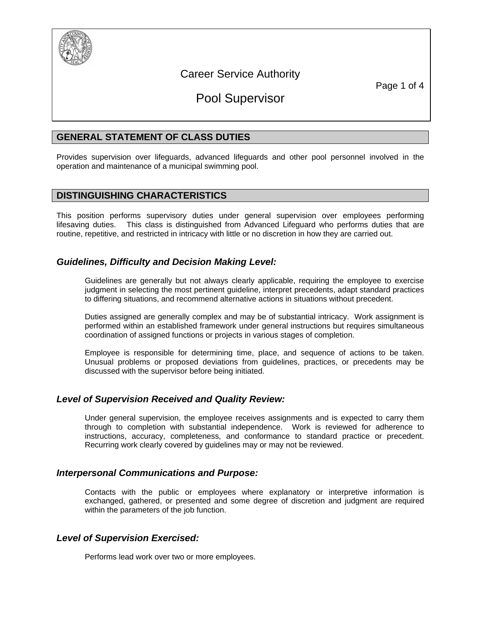

# Career Service Authority

Page 1 of 4

# Pool Supervisor

# **GENERAL STATEMENT OF CLASS DUTIES**

Provides supervision over lifeguards, advanced lifeguards and other pool personnel involved in the operation and maintenance of a municipal swimming pool.

# **DISTINGUISHING CHARACTERISTICS**

This position performs supervisory duties under general supervision over employees performing lifesaving duties. This class is distinguished from Advanced Lifeguard who performs duties that are routine, repetitive, and restricted in intricacy with little or no discretion in how they are carried out.

# *Guidelines, Difficulty and Decision Making Level:*

Guidelines are generally but not always clearly applicable, requiring the employee to exercise judgment in selecting the most pertinent guideline, interpret precedents, adapt standard practices to differing situations, and recommend alternative actions in situations without precedent.

Duties assigned are generally complex and may be of substantial intricacy. Work assignment is performed within an established framework under general instructions but requires simultaneous coordination of assigned functions or projects in various stages of completion.

Employee is responsible for determining time, place, and sequence of actions to be taken. Unusual problems or proposed deviations from guidelines, practices, or precedents may be discussed with the supervisor before being initiated.

# *Level of Supervision Received and Quality Review:*

Under general supervision, the employee receives assignments and is expected to carry them through to completion with substantial independence. Work is reviewed for adherence to instructions, accuracy, completeness, and conformance to standard practice or precedent. Recurring work clearly covered by guidelines may or may not be reviewed.

# *Interpersonal Communications and Purpose:*

Contacts with the public or employees where explanatory or interpretive information is exchanged, gathered, or presented and some degree of discretion and judgment are required within the parameters of the job function.

# *Level of Supervision Exercised:*

Performs lead work over two or more employees.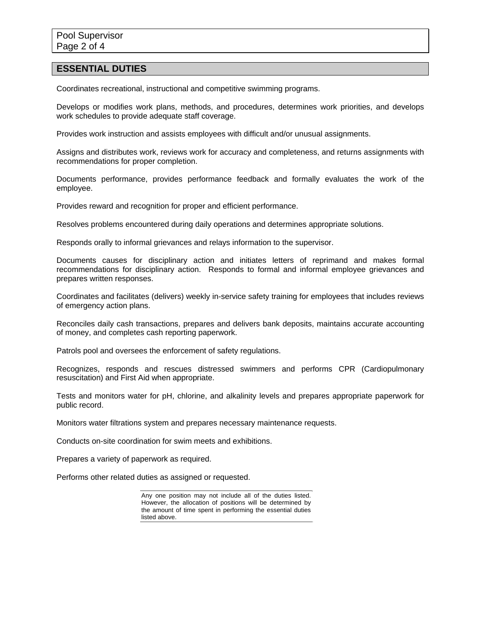#### **ESSENTIAL DUTIES**

Coordinates recreational, instructional and competitive swimming programs.

Develops or modifies work plans, methods, and procedures, determines work priorities, and develops work schedules to provide adequate staff coverage.

Provides work instruction and assists employees with difficult and/or unusual assignments.

Assigns and distributes work, reviews work for accuracy and completeness, and returns assignments with recommendations for proper completion.

Documents performance, provides performance feedback and formally evaluates the work of the employee.

Provides reward and recognition for proper and efficient performance.

Resolves problems encountered during daily operations and determines appropriate solutions.

Responds orally to informal grievances and relays information to the supervisor.

Documents causes for disciplinary action and initiates letters of reprimand and makes formal recommendations for disciplinary action. Responds to formal and informal employee grievances and prepares written responses.

Coordinates and facilitates (delivers) weekly in-service safety training for employees that includes reviews of emergency action plans.

Reconciles daily cash transactions, prepares and delivers bank deposits, maintains accurate accounting of money, and completes cash reporting paperwork.

Patrols pool and oversees the enforcement of safety regulations.

Recognizes, responds and rescues distressed swimmers and performs CPR (Cardiopulmonary resuscitation) and First Aid when appropriate.

Tests and monitors water for pH, chlorine, and alkalinity levels and prepares appropriate paperwork for public record.

Monitors water filtrations system and prepares necessary maintenance requests.

Conducts on-site coordination for swim meets and exhibitions.

Prepares a variety of paperwork as required.

Performs other related duties as assigned or requested.

Any one position may not include all of the duties listed. However, the allocation of positions will be determined by the amount of time spent in performing the essential duties listed above.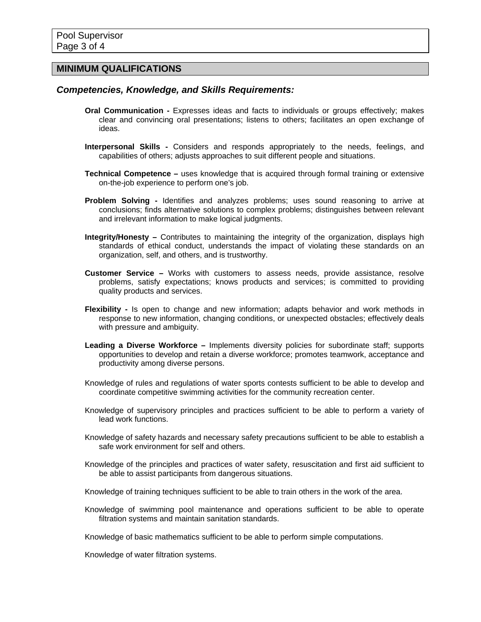# **MINIMUM QUALIFICATIONS**

# *Competencies, Knowledge, and Skills Requirements:*

- **Oral Communication** Expresses ideas and facts to individuals or groups effectively; makes clear and convincing oral presentations; listens to others; facilitates an open exchange of ideas.
- **Interpersonal Skills** Considers and responds appropriately to the needs, feelings, and capabilities of others; adjusts approaches to suit different people and situations.
- **Technical Competence** uses knowledge that is acquired through formal training or extensive on-the-job experience to perform one's job.
- **Problem Solving** Identifies and analyzes problems; uses sound reasoning to arrive at conclusions; finds alternative solutions to complex problems; distinguishes between relevant and irrelevant information to make logical judgments.
- **Integrity/Honesty –** Contributes to maintaining the integrity of the organization, displays high standards of ethical conduct, understands the impact of violating these standards on an organization, self, and others, and is trustworthy.
- **Customer Service** Works with customers to assess needs, provide assistance, resolve problems, satisfy expectations; knows products and services; is committed to providing quality products and services.
- **Flexibility** Is open to change and new information; adapts behavior and work methods in response to new information, changing conditions, or unexpected obstacles; effectively deals with pressure and ambiguity.
- **Leading a Diverse Workforce** Implements diversity policies for subordinate staff; supports opportunities to develop and retain a diverse workforce; promotes teamwork, acceptance and productivity among diverse persons.
- Knowledge of rules and regulations of water sports contests sufficient to be able to develop and coordinate competitive swimming activities for the community recreation center.
- Knowledge of supervisory principles and practices sufficient to be able to perform a variety of lead work functions.
- Knowledge of safety hazards and necessary safety precautions sufficient to be able to establish a safe work environment for self and others.
- Knowledge of the principles and practices of water safety, resuscitation and first aid sufficient to be able to assist participants from dangerous situations.
- Knowledge of training techniques sufficient to be able to train others in the work of the area.
- Knowledge of swimming pool maintenance and operations sufficient to be able to operate filtration systems and maintain sanitation standards.
- Knowledge of basic mathematics sufficient to be able to perform simple computations.

Knowledge of water filtration systems.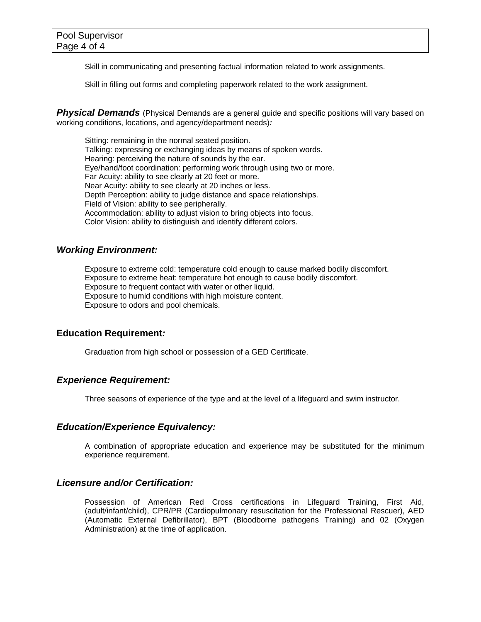Skill in communicating and presenting factual information related to work assignments.

Skill in filling out forms and completing paperwork related to the work assignment.

**Physical Demands** (Physical Demands are a general guide and specific positions will vary based on working conditions, locations, and agency/department needs)*:*

Sitting: remaining in the normal seated position. Talking: expressing or exchanging ideas by means of spoken words. Hearing: perceiving the nature of sounds by the ear. Eye/hand/foot coordination: performing work through using two or more. Far Acuity: ability to see clearly at 20 feet or more. Near Acuity: ability to see clearly at 20 inches or less. Depth Perception: ability to judge distance and space relationships. Field of Vision: ability to see peripherally. Accommodation: ability to adjust vision to bring objects into focus. Color Vision: ability to distinguish and identify different colors.

## *Working Environment:*

Exposure to extreme cold: temperature cold enough to cause marked bodily discomfort. Exposure to extreme heat: temperature hot enough to cause bodily discomfort. Exposure to frequent contact with water or other liquid. Exposure to humid conditions with high moisture content. Exposure to odors and pool chemicals.

#### **Education Requirement***:*

Graduation from high school or possession of a GED Certificate.

### *Experience Requirement:*

Three seasons of experience of the type and at the level of a lifeguard and swim instructor.

#### *Education/Experience Equivalency:*

A combination of appropriate education and experience may be substituted for the minimum experience requirement.

#### *Licensure and/or Certification:*

Possession of American Red Cross certifications in Lifeguard Training, First Aid, (adult/infant/child), CPR/PR (Cardiopulmonary resuscitation for the Professional Rescuer), AED (Automatic External Defibrillator), BPT (Bloodborne pathogens Training) and 02 (Oxygen Administration) at the time of application.